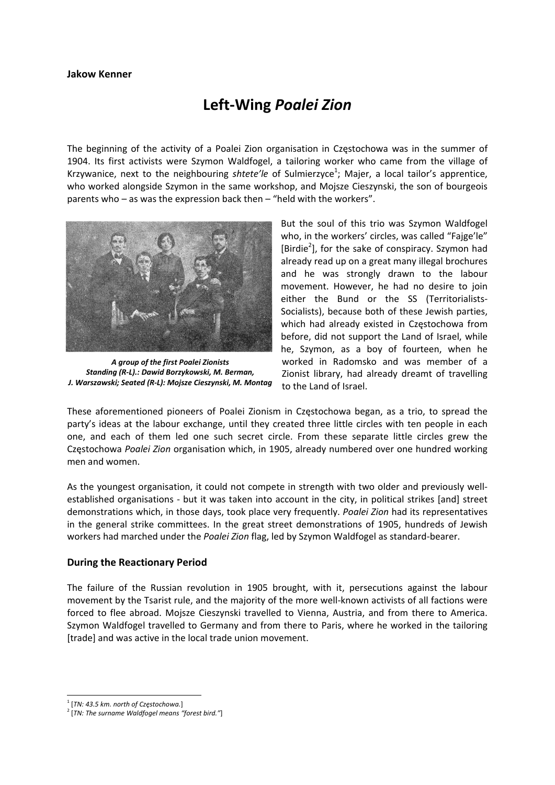# **Left‐Wing** *Poalei Zion*

The beginning of the activity of a Poalei Zion organisation in Częstochowa was in the summer of 1904. Its first activists were Szymon Waldfogel, a tailoring worker who came from the village of Krzywanice, next to the neighbouring shtete'le of Sulmierzyce<sup>1</sup>; Majer, a local tailor's apprentice, who worked alongside Szymon in the same workshop, and Mojsze Cieszynski, the son of bourgeois parents who – as was the expression back then – "held with the workers".



*A group of the first Poalei Zionists Standing (R‐L).: Dawid Borzykowski, M. Berman, J. Warszawski; Seated (R‐L): Mojsze Cieszynski, M. Montag*

But the soul of this trio was Szymon Waldfogel who, in the workers' circles, was called "Fajge'le" [Birdie<sup>2</sup>], for the sake of conspiracy. Szymon had already read up on a great many illegal brochures and he was strongly drawn to the labour movement. However, he had no desire to join either the Bund or the SS (Territorialists‐ Socialists), because both of these Jewish parties, which had already existed in Częstochowa from before, did not support the Land of Israel, while he, Szymon, as a boy of fourteen, when he worked in Radomsko and was member of a Zionist library, had already dreamt of travelling to the Land of Israel.

These aforementioned pioneers of Poalei Zionism in Częstochowa began, as a trio, to spread the party's ideas at the labour exchange, until they created three little circles with ten people in each one, and each of them led one such secret circle. From these separate little circles grew the Częstochowa *Poalei Zion* organisation which, in 1905, already numbered over one hundred working men and women.

As the youngest organisation, it could not compete in strength with two older and previously well‐ established organisations ‐ but it was taken into account in the city, in political strikes [and] street demonstrations which, in those days, took place very frequently. *Poalei Zion* had its representatives in the general strike committees. In the great street demonstrations of 1905, hundreds of Jewish workers had marched under the *Poalei Zion* flag, led by Szymon Waldfogel as standard‐bearer.

## **During the Reactionary Period**

The failure of the Russian revolution in 1905 brought, with it, persecutions against the labour movement by the Tsarist rule, and the majority of the more well‐known activists of all factions were forced to flee abroad. Mojsze Cieszynski travelled to Vienna, Austria, and from there to America. Szymon Waldfogel travelled to Germany and from there to Paris, where he worked in the tailoring [trade] and was active in the local trade union movement.

 <sup>1</sup> [*TN: 43.5 km. north of Częstochowa.*]

<sup>2</sup> [*TN: The surname Waldfogel means "forest bird."*]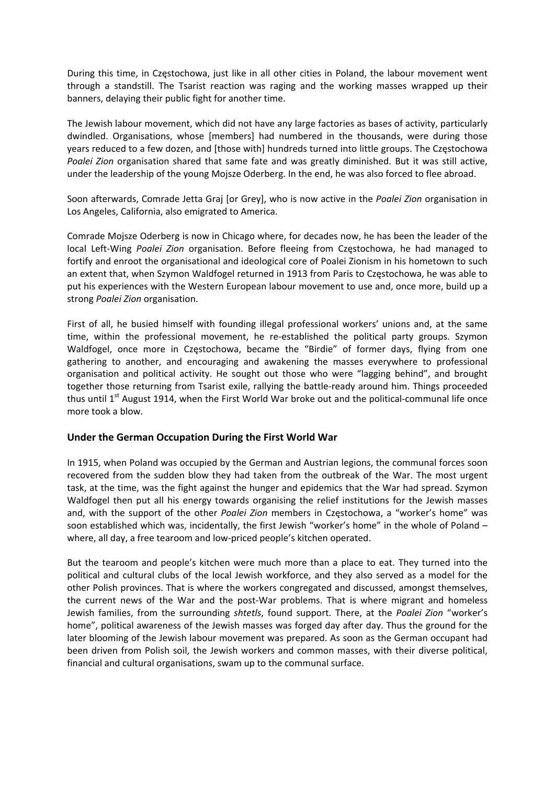During this time, in Częstochowa, just like in all other cities in Poland, the labour movement went through a standstill. The Tsarist reaction was raging and the working masses wrapped up their banners, delaying their public fight for another time.

The Jewish labour movement, which did not have any large factories as bases of activity, particularly dwindled. Organisations, whose [members] had numbered in the thousands, were during those years reduced to a few dozen, and [those with] hundreds turned into little groups. The Częstochowa *Poalei Zion* organisation shared that same fate and was greatly diminished. But it was still active, under the leadership of the young Mojsze Oderberg. In the end, he was also forced to flee abroad.

Soon afterwards, Comrade Jetta Graj [or Grey], who is now active in the *Poalei Zion* organisation in Los Angeles, California, also emigrated to America.

Comrade Mojsze Oderberg is now in Chicago where, for decades now, he has been the leader of the local Left‐Wing *Poalei Zion* organisation. Before fleeing from Częstochowa, he had managed to fortify and enroot the organisational and ideological core of Poalei Zionism in his hometown to such an extent that, when Szymon Waldfogel returned in 1913 from Paris to Częstochowa, he was able to put his experiences with the Western European labour movement to use and, once more, build up a strong *Poalei Zion* organisation.

First of all, he busied himself with founding illegal professional workers' unions and, at the same time, within the professional movement, he re-established the political party groups. Szymon Waldfogel, once more in Częstochowa, became the "Birdie" of former days, flying from one gathering to another, and encouraging and awakening the masses everywhere to professional organisation and political activity. He sought out those who were "lagging behind", and brought together those returning from Tsarist exile, rallying the battle‐ready around him. Things proceeded thus until  $1^{st}$  August 1914, when the First World War broke out and the political-communal life once more took a blow.

## **Under the German Occupation During the First World War**

In 1915, when Poland was occupied by the German and Austrian legions, the communal forces soon recovered from the sudden blow they had taken from the outbreak of the War. The most urgent task, at the time, was the fight against the hunger and epidemics that the War had spread. Szymon Waldfogel then put all his energy towards organising the relief institutions for the Jewish masses and, with the support of the other *Poalei Zion* members in Częstochowa, a "worker's home" was soon established which was, incidentally, the first Jewish "worker's home" in the whole of Poland – where, all day, a free tearoom and low-priced people's kitchen operated.

But the tearoom and people's kitchen were much more than a place to eat. They turned into the political and cultural clubs of the local Jewish workforce, and they also served as a model for the other Polish provinces. That is where the workers congregated and discussed, amongst themselves, the current news of the War and the post‐War problems. That is where migrant and homeless Jewish families, from the surrounding *shtetls*, found support. There, at the *Poalei Zion* "worker's home", political awareness of the Jewish masses was forged day after day. Thus the ground for the later blooming of the Jewish labour movement was prepared. As soon as the German occupant had been driven from Polish soil, the Jewish workers and common masses, with their diverse political, financial and cultural organisations, swam up to the communal surface.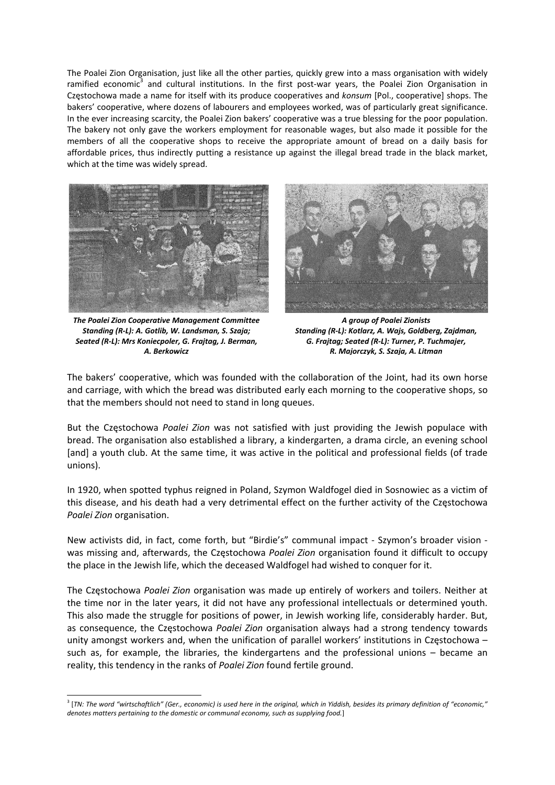The Poalei Zion Organisation, just like all the other parties, quickly grew into a mass organisation with widely ramified economic<sup>3</sup> and cultural institutions. In the first post-war years, the Poalei Zion Organisation in Częstochowa made a name for itself with its produce cooperatives and *konsum* [Pol., cooperative] shops. The bakers' cooperative, where dozens of labourers and employees worked, was of particularly great significance. In the ever increasing scarcity, the Poalei Zion bakers' cooperative was a true blessing for the poor population. The bakery not only gave the workers employment for reasonable wages, but also made it possible for the members of all the cooperative shops to receive the appropriate amount of bread on a daily basis for affordable prices, thus indirectly putting a resistance up against the illegal bread trade in the black market, which at the time was widely spread.



*The Poalei Zion Cooperative Management Committee Standing (R‐L): A. Gotlib, W. Landsman, S. Szaja; Seated (R‐L): Mrs Koniecpoler, G. Frajtag, J. Berman, A. Berkowicz* 



*A group of Poalei Zionists Standing (R‐L): Kotlarz, A. Wajs, Goldberg, Zajdman, G. Frajtag; Seated (R‐L): Turner, P. Tuchmajer, R. Majorczyk, S. Szaja, A. Litman* 

The bakers' cooperative, which was founded with the collaboration of the Joint, had its own horse and carriage, with which the bread was distributed early each morning to the cooperative shops, so that the members should not need to stand in long queues.

But the Częstochowa *Poalei Zion* was not satisfied with just providing the Jewish populace with bread. The organisation also established a library, a kindergarten, a drama circle, an evening school [and] a youth club. At the same time, it was active in the political and professional fields (of trade unions).

In 1920, when spotted typhus reigned in Poland, Szymon Waldfogel died in Sosnowiec as a victim of this disease, and his death had a very detrimental effect on the further activity of the Częstochowa *Poalei Zion* organisation.

New activists did, in fact, come forth, but "Birdie's" communal impact ‐ Szymon's broader vision ‐ was missing and, afterwards, the Częstochowa *Poalei Zion* organisation found it difficult to occupy the place in the Jewish life, which the deceased Waldfogel had wished to conquer for it.

The Częstochowa *Poalei Zion* organisation was made up entirely of workers and toilers. Neither at the time nor in the later years, it did not have any professional intellectuals or determined youth. This also made the struggle for positions of power, in Jewish working life, considerably harder. But, as consequence, the Częstochowa *Poalei Zion* organisation always had a strong tendency towards unity amongst workers and, when the unification of parallel workers' institutions in Częstochowa – such as, for example, the libraries, the kindergartens and the professional unions – became an reality, this tendency in the ranks of *Poalei Zion* found fertile ground.

<sup>&</sup>lt;sup>3</sup> [TN: The word "wirtschaftlich" (Ger., economic) is used here in the original, which in Yiddish, besides its primary definition of "economic," *denotes matters pertaining to the domestic or communal economy, such as supplying food.*]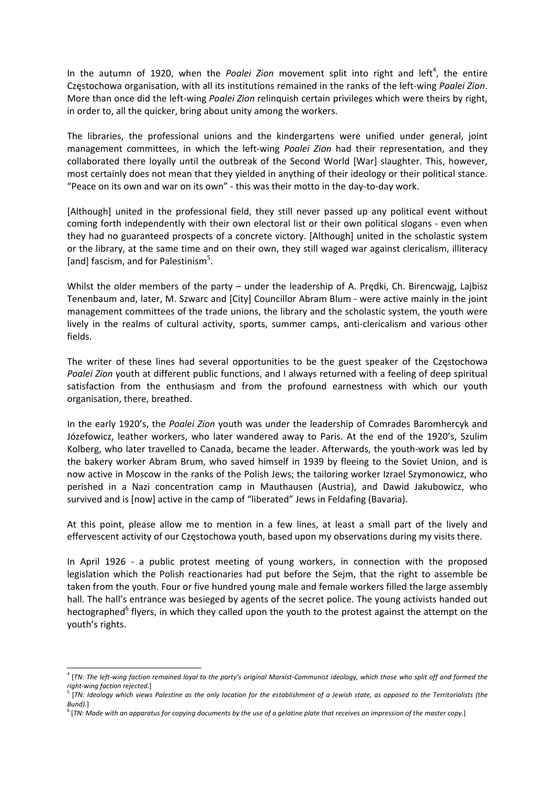In the autumn of 1920, when the Poalei Zion movement split into right and left<sup>4</sup>, the entire Częstochowa organisation, with all its institutions remained in the ranks of the left‐wing *Poalei Zion*. More than once did the left‐wing *Poalei Zion* relinquish certain privileges which were theirs by right, in order to, all the quicker, bring about unity among the workers.

The libraries, the professional unions and the kindergartens were unified under general, joint management committees, in which the left‐wing *Poalei Zion* had their representation, and they collaborated there loyally until the outbreak of the Second World [War] slaughter. This, however, most certainly does not mean that they yielded in anything of their ideology or their political stance. "Peace on its own and war on its own" ‐ this was their motto in the day‐to‐day work.

[Although] united in the professional field, they still never passed up any political event without coming forth independently with their own electoral list or their own political slogans ‐ even when they had no guaranteed prospects of a concrete victory. [Although] united in the scholastic system or the library, at the same time and on their own, they still waged war against clericalism, illiteracy [and] fascism, and for Palestinism<sup>5</sup>.

Whilst the older members of the party – under the leadership of A. Predki, Ch. Birencwajg, Lajbisz Tenenbaum and, later, M. Szwarc and [City] Councillor Abram Blum ‐ were active mainly in the joint management committees of the trade unions, the library and the scholastic system, the youth were lively in the realms of cultural activity, sports, summer camps, anti‐clericalism and various other fields.

The writer of these lines had several opportunities to be the guest speaker of the Częstochowa *Poalei Zion* youth at different public functions, and I always returned with a feeling of deep spiritual satisfaction from the enthusiasm and from the profound earnestness with which our youth organisation, there, breathed.

In the early 1920's, the *Poalei Zion* youth was under the leadership of Comrades Baromhercyk and Józefowicz, leather workers, who later wandered away to Paris. At the end of the 1920's, Szulim Kolberg, who later travelled to Canada, became the leader. Afterwards, the youth‐work was led by the bakery worker Abram Brum, who saved himself in 1939 by fleeing to the Soviet Union, and is now active in Moscow in the ranks of the Polish Jews; the tailoring worker Izrael Szymonowicz, who perished in a Nazi concentration camp in Mauthausen (Austria), and Dawid Jakubowicz, who survived and is [now] active in the camp of "liberated" Jews in Feldafing (Bavaria).

At this point, please allow me to mention in a few lines, at least a small part of the lively and effervescent activity of our Częstochowa youth, based upon my observations during my visits there.

In April 1926 - a public protest meeting of young workers, in connection with the proposed legislation which the Polish reactionaries had put before the Sejm, that the right to assemble be taken from the youth. Four or five hundred young male and female workers filled the large assembly hall. The hall's entrance was besieged by agents of the secret police. The young activists handed out hectographed<sup>6</sup> flyers, in which they called upon the youth to the protest against the attempt on the youth's rights.

<sup>&</sup>lt;sup>4</sup> [TN: The left-wing faction remained loyal to the party's original Marxist-Communist ideology, which those who split off and formed the right-wing faction rejected.]

<sup>[</sup>TN: Ideology which views Palestine as the only location for the establishment of a Jewish state, as opposed to the Territorialists (the *Bund).*]

 $6$  [TN: Made with an apparatus for copying documents by the use of a gelatine plate that receives an impression of the master copy.]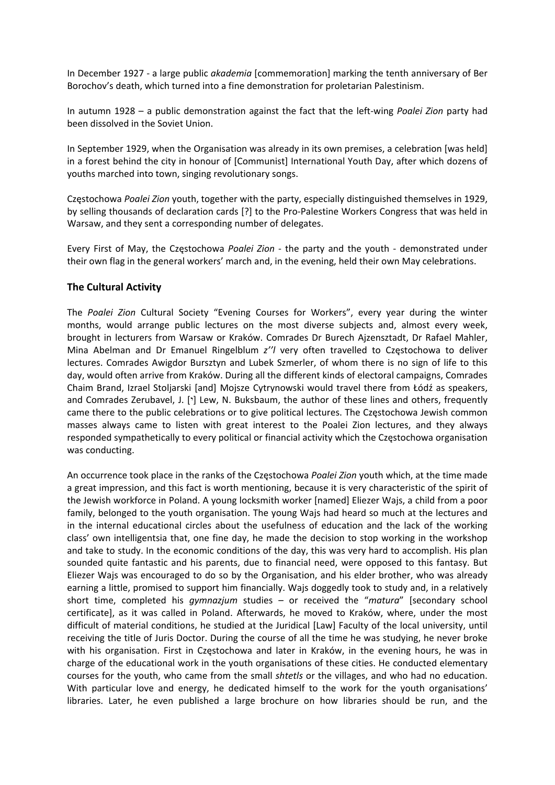In December 1927 ‐ a large public *akademia* [commemoration] marking the tenth anniversary of Ber Borochov's death, which turned into a fine demonstration for proletarian Palestinism.

In autumn 1928 – a public demonstration against the fact that the left‐wing *Poalei Zion* party had been dissolved in the Soviet Union.

In September 1929, when the Organisation was already in its own premises, a celebration [was held] in a forest behind the city in honour of [Communist] International Youth Day, after which dozens of youths marched into town, singing revolutionary songs.

Częstochowa *Poalei Zion* youth, together with the party, especially distinguished themselves in 1929, by selling thousands of declaration cards [?] to the Pro‐Palestine Workers Congress that was held in Warsaw, and they sent a corresponding number of delegates.

Every First of May, the Częstochowa *Poalei Zion* - the party and the youth - demonstrated under their own flag in the general workers' march and, in the evening, held their own May celebrations.

#### **The Cultural Activity**

The *Poalei Zion* Cultural Society "Evening Courses for Workers", every year during the winter months, would arrange public lectures on the most diverse subjects and, almost every week, brought in lecturers from Warsaw or Kraków. Comrades Dr Burech Ajzensztadt, Dr Rafael Mahler, Mina Abelman and Dr Emanuel Ringelblum *z''l* very often travelled to Częstochowa to deliver lectures. Comrades Awigdor Bursztyn and Lubek Szmerler, of whom there is no sign of life to this day, would often arrive from Kraków. During all the different kinds of electoral campaigns, Comrades Chaim Brand, Izrael Stoljarski [and] Mojsze Cytrynowski would travel there from Łódź as speakers, and Comrades Zerubavel, J. ['] Lew, N. Buksbaum, the author of these lines and others, frequently came there to the public celebrations or to give political lectures. The Częstochowa Jewish common masses always came to listen with great interest to the Poalei Zion lectures, and they always responded sympathetically to every political or financial activity which the Częstochowa organisation was conducting.

An occurrence took place in the ranks of the Częstochowa *Poalei Zion* youth which, at the time made a great impression, and this fact is worth mentioning, because it is very characteristic of the spirit of the Jewish workforce in Poland. A young locksmith worker [named] Eliezer Wajs, a child from a poor family, belonged to the youth organisation. The young Wajs had heard so much at the lectures and in the internal educational circles about the usefulness of education and the lack of the working class' own intelligentsia that, one fine day, he made the decision to stop working in the workshop and take to study. In the economic conditions of the day, this was very hard to accomplish. His plan sounded quite fantastic and his parents, due to financial need, were opposed to this fantasy. But Eliezer Wajs was encouraged to do so by the Organisation, and his elder brother, who was already earning a little, promised to support him financially. Wajs doggedly took to study and, in a relatively short time, completed his *gymnazjum* studies – or received the "*matura*" [secondary school certificate], as it was called in Poland. Afterwards, he moved to Kraków, where, under the most difficult of material conditions, he studied at the Juridical [Law] Faculty of the local university, until receiving the title of Juris Doctor. During the course of all the time he was studying, he never broke with his organisation. First in Częstochowa and later in Kraków, in the evening hours, he was in charge of the educational work in the youth organisations of these cities. He conducted elementary courses for the youth, who came from the small *shtetls* or the villages, and who had no education. With particular love and energy, he dedicated himself to the work for the youth organisations' libraries. Later, he even published a large brochure on how libraries should be run, and the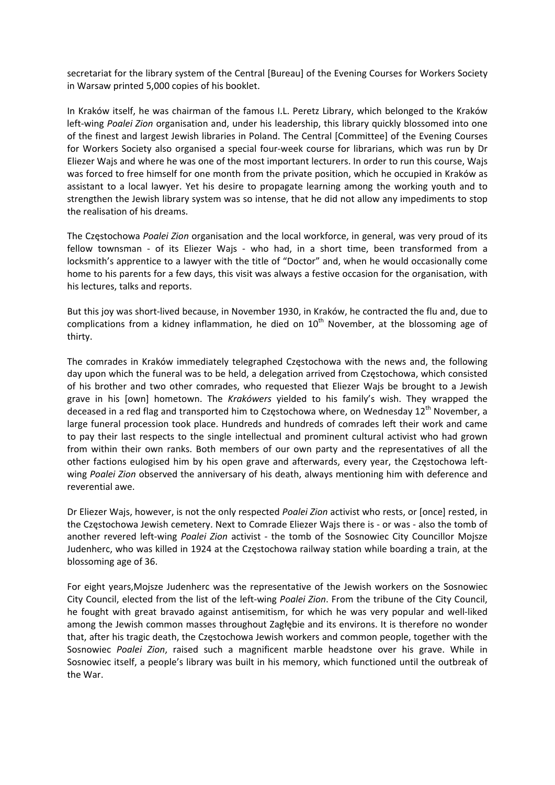secretariat for the library system of the Central [Bureau] of the Evening Courses for Workers Society in Warsaw printed 5,000 copies of his booklet.

In Kraków itself, he was chairman of the famous I.L. Peretz Library, which belonged to the Kraków left-wing Poalei Zion organisation and, under his leadership, this library quickly blossomed into one of the finest and largest Jewish libraries in Poland. The Central [Committee] of the Evening Courses for Workers Society also organised a special four-week course for librarians, which was run by Dr Eliezer Wajs and where he was one of the most important lecturers. In order to run this course, Wajs was forced to free himself for one month from the private position, which he occupied in Kraków as assistant to a local lawyer. Yet his desire to propagate learning among the working youth and to strengthen the Jewish library system was so intense, that he did not allow any impediments to stop the realisation of his dreams.

The Częstochowa *Poalei Zion* organisation and the local workforce, in general, was very proud of its fellow townsman - of its Eliezer Wajs - who had, in a short time, been transformed from a locksmith's apprentice to a lawyer with the title of "Doctor" and, when he would occasionally come home to his parents for a few days, this visit was always a festive occasion for the organisation, with his lectures, talks and reports.

But this joy was short‐lived because, in November 1930, in Kraków, he contracted the flu and, due to complications from a kidney inflammation, he died on  $10<sup>th</sup>$  November, at the blossoming age of thirty.

The comrades in Kraków immediately telegraphed Częstochowa with the news and, the following day upon which the funeral was to be held, a delegation arrived from Częstochowa, which consisted of his brother and two other comrades, who requested that Eliezer Wajs be brought to a Jewish grave in his [own] hometown. The *Krakówers* yielded to his family's wish. They wrapped the deceased in a red flag and transported him to Częstochowa where, on Wednesday 12<sup>th</sup> November, a large funeral procession took place. Hundreds and hundreds of comrades left their work and came to pay their last respects to the single intellectual and prominent cultural activist who had grown from within their own ranks. Both members of our own party and the representatives of all the other factions eulogised him by his open grave and afterwards, every year, the Częstochowa left‐ wing *Poalei Zion* observed the anniversary of his death, always mentioning him with deference and reverential awe.

Dr Eliezer Wajs, however, is not the only respected *Poalei Zion* activist who rests, or [once] rested, in the Częstochowa Jewish cemetery. Next to Comrade Eliezer Wajs there is - or was - also the tomb of another revered left‐wing *Poalei Zion* activist ‐ the tomb of the Sosnowiec City Councillor Mojsze Judenherc, who was killed in 1924 at the Częstochowa railway station while boarding a train, at the blossoming age of 36.

For eight years,Mojsze Judenherc was the representative of the Jewish workers on the Sosnowiec City Council, elected from the list of the left‐wing *Poalei Zion*. From the tribune of the City Council, he fought with great bravado against antisemitism, for which he was very popular and well‐liked among the Jewish common masses throughout Zagłębie and its environs. It is therefore no wonder that, after his tragic death, the Częstochowa Jewish workers and common people, together with the Sosnowiec *Poalei Zion*, raised such a magnificent marble headstone over his grave. While in Sosnowiec itself, a people's library was built in his memory, which functioned until the outbreak of the War.